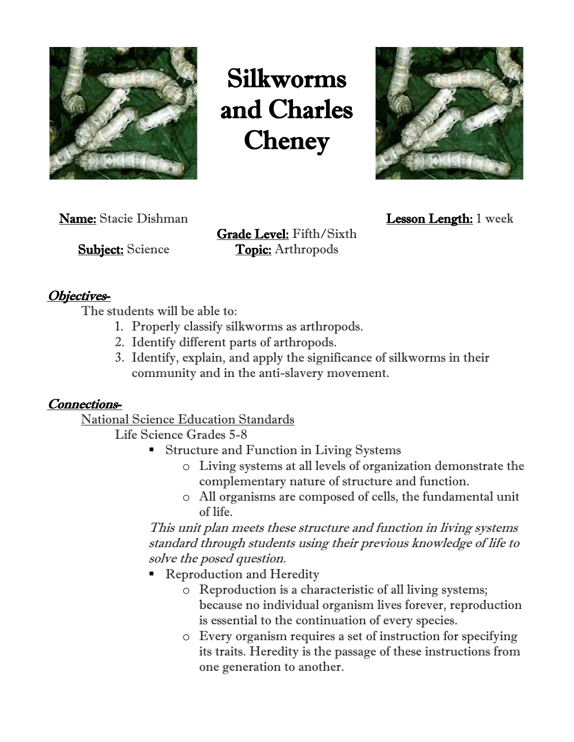

Silkworms and Charles **Cheney** 



Name: Stacie Dishman Lesson Length: 1 week

Grade Level: Fifth/Sixth **Subject:** Science **Topic:** Arthropods

## Objectives-

The students will be able to:

- 1. Properly classify silkworms as arthropods.
- 2. Identify different parts of arthropods.
- 3. Identify, explain, and apply the significance of silkworms in their community and in the anti-slavery movement.

#### Connections-

National Science Education Standards

Life Science Grades 5-8

- Structure and Function in Living Systems
	- o Living systems at all levels of organization demonstrate the complementary nature of structure and function.
	- o All organisms are composed of cells, the fundamental unit of life.

This unit plan meets these structure and function in living systems standard through students using their previous knowledge of life to solve the posed question.

- **Reproduction and Heredity** 
	- o Reproduction is a characteristic of all living systems; because no individual organism lives forever, reproduction is essential to the continuation of every species.
	- o Every organism requires a set of instruction for specifying its traits. Heredity is the passage of these instructions from one generation to another.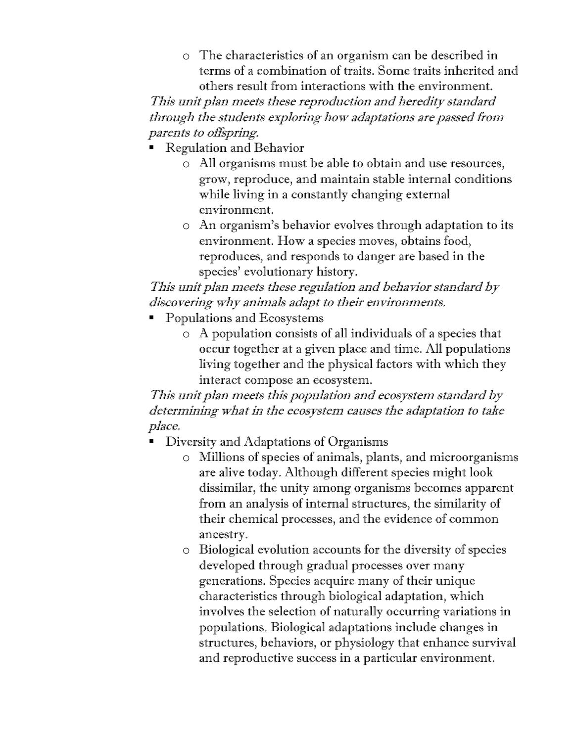o The characteristics of an organism can be described in terms of a combination of traits. Some traits inherited and others result from interactions with the environment.

This unit plan meets these reproduction and heredity standard through the students exploring how adaptations are passed from parents to offspring.

- **Regulation and Behavior** 
	- o All organisms must be able to obtain and use resources, grow, reproduce, and maintain stable internal conditions while living in a constantly changing external environment.
	- o An organism's behavior evolves through adaptation to its environment. How a species moves, obtains food, reproduces, and responds to danger are based in the species' evolutionary history.

# This unit plan meets these regulation and behavior standard by discovering why animals adapt to their environments.

- Populations and Ecosystems
	- o A population consists of all individuals of a species that occur together at a given place and time. All populations living together and the physical factors with which they interact compose an ecosystem.

This unit plan meets this population and ecosystem standard by determining what in the ecosystem causes the adaptation to take place.

- **Diversity and Adaptations of Organisms** 
	- o Millions of species of animals, plants, and microorganisms are alive today. Although different species might look dissimilar, the unity among organisms becomes apparent from an analysis of internal structures, the similarity of their chemical processes, and the evidence of common ancestry.
	- o Biological evolution accounts for the diversity of species developed through gradual processes over many generations. Species acquire many of their unique characteristics through biological adaptation, which involves the selection of naturally occurring variations in populations. Biological adaptations include changes in structures, behaviors, or physiology that enhance survival and reproductive success in a particular environment.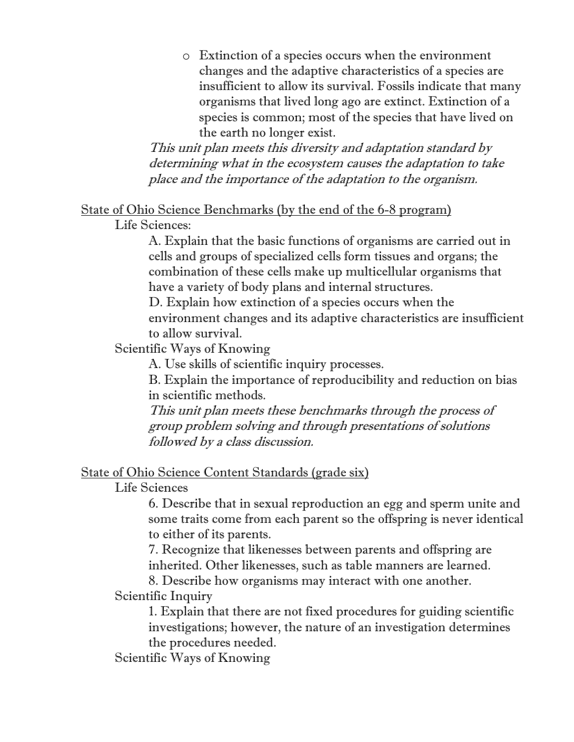o Extinction of a species occurs when the environment changes and the adaptive characteristics of a species are insufficient to allow its survival. Fossils indicate that many organisms that lived long ago are extinct. Extinction of a species is common; most of the species that have lived on the earth no longer exist.

This unit plan meets this diversity and adaptation standard by determining what in the ecosystem causes the adaptation to take place and the importance of the adaptation to the organism.

# State of Ohio Science Benchmarks (by the end of the 6-8 program)

Life Sciences:

A. Explain that the basic functions of organisms are carried out in cells and groups of specialized cells form tissues and organs; the combination of these cells make up multicellular organisms that have a variety of body plans and internal structures.

D. Explain how extinction of a species occurs when the environment changes and its adaptive characteristics are insufficient to allow survival.

Scientific Ways of Knowing

A. Use skills of scientific inquiry processes.

B. Explain the importance of reproducibility and reduction on bias in scientific methods.

This unit plan meets these benchmarks through the process of group problem solving and through presentations of solutions followed by a class discussion.

### State of Ohio Science Content Standards (grade six)

Life Sciences

6. Describe that in sexual reproduction an egg and sperm unite and some traits come from each parent so the offspring is never identical to either of its parents.

7. Recognize that likenesses between parents and offspring are inherited. Other likenesses, such as table manners are learned.

8. Describe how organisms may interact with one another. Scientific Inquiry

1. Explain that there are not fixed procedures for guiding scientific investigations; however, the nature of an investigation determines the procedures needed.

Scientific Ways of Knowing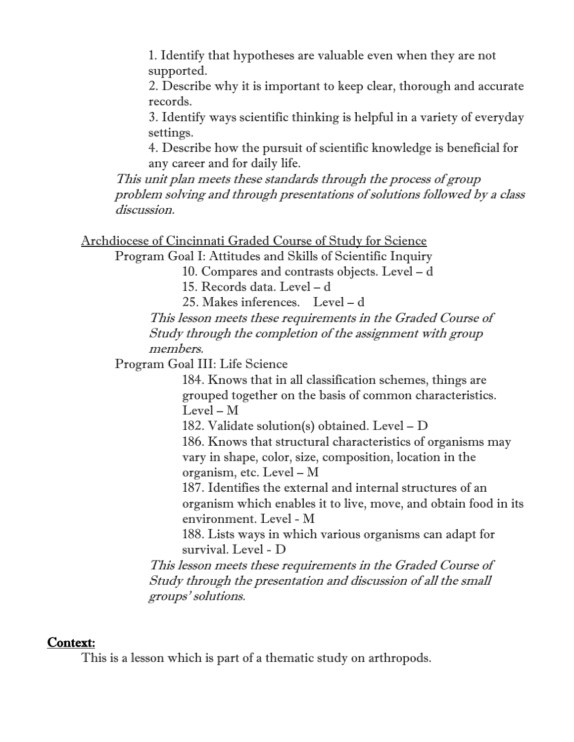1. Identify that hypotheses are valuable even when they are not supported.

2. Describe why it is important to keep clear, thorough and accurate records.

3. Identify ways scientific thinking is helpful in a variety of everyday settings.

4. Describe how the pursuit of scientific knowledge is beneficial for any career and for daily life.

This unit plan meets these standards through the process of group problem solving and through presentations of solutions followed by a class discussion.

```
Archdiocese of Cincinnati Graded Course of Study for Science
Program Goal I: Attitudes and Skills of Scientific Inquiry 
            10. Compares and contrasts objects. Level – d
            15. Records data. Level – d
            25. Makes inferences. Level – d
      This lesson meets these requirements in the Graded Course of 
      Study through the completion of the assignment with group
```
members.

Program Goal III: Life Science

184. Knows that in all classification schemes, things are grouped together on the basis of common characteristics. Level – M

182. Validate solution(s) obtained. Level – D

186. Knows that structural characteristics of organisms may vary in shape, color, size, composition, location in the organism, etc. Level – M

187. Identifies the external and internal structures of an organism which enables it to live, move, and obtain food in its environment. Level - M

188. Lists ways in which various organisms can adapt for survival. Level - D

This lesson meets these requirements in the Graded Course of Study through the presentation and discussion of all the small groups' solutions.

#### Context:

This is a lesson which is part of a thematic study on arthropods.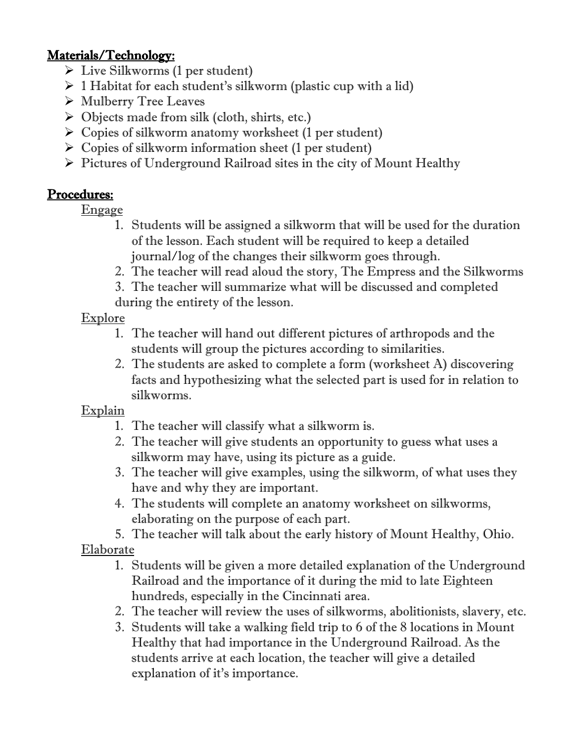## Materials/Technology:

- $\triangleright$  Live Silkworms (1 per student)
- $\geq 1$  Habitat for each student's silkworm (plastic cup with a lid)
- Mulberry Tree Leaves
- $\triangleright$  Objects made from silk (cloth, shirts, etc.)
- $\triangleright$  Copies of silkworm anatomy worksheet (1 per student)
- $\triangleright$  Copies of silkworm information sheet (1 per student)
- $\triangleright$  Pictures of Underground Railroad sites in the city of Mount Healthy

# Procedures:

**Engage** 

- 1. Students will be assigned a silkworm that will be used for the duration of the lesson. Each student will be required to keep a detailed journal/log of the changes their silkworm goes through.
- 2. The teacher will read aloud the story, The Empress and the Silkworms
- 3. The teacher will summarize what will be discussed and completed during the entirety of the lesson.

# **Explore**

- 1. The teacher will hand out different pictures of arthropods and the students will group the pictures according to similarities.
- 2. The students are asked to complete a form (worksheet A) discovering facts and hypothesizing what the selected part is used for in relation to silkworms.

# **Explain**

- 1. The teacher will classify what a silkworm is.
- 2. The teacher will give students an opportunity to guess what uses a silkworm may have, using its picture as a guide.
- 3. The teacher will give examples, using the silkworm, of what uses they have and why they are important.
- 4. The students will complete an anatomy worksheet on silkworms, elaborating on the purpose of each part.

5. The teacher will talk about the early history of Mount Healthy, Ohio. Elaborate

- 1. Students will be given a more detailed explanation of the Underground Railroad and the importance of it during the mid to late Eighteen hundreds, especially in the Cincinnati area.
- 2. The teacher will review the uses of silkworms, abolitionists, slavery, etc.
- 3. Students will take a walking field trip to 6 of the 8 locations in Mount Healthy that had importance in the Underground Railroad. As the students arrive at each location, the teacher will give a detailed explanation of it's importance.